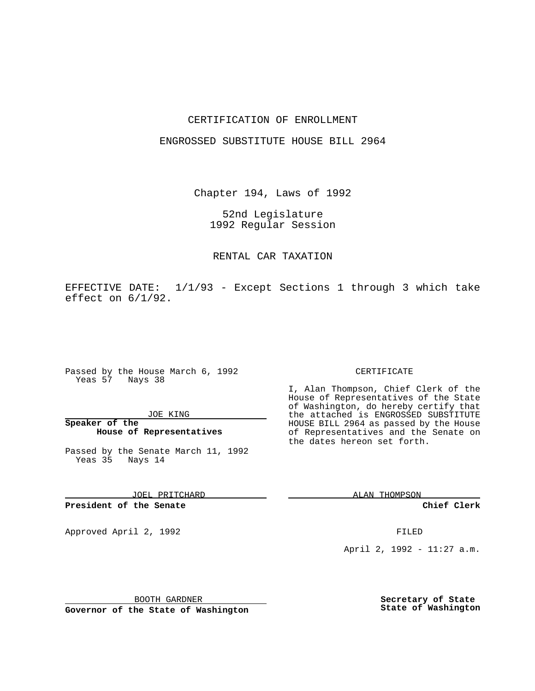## CERTIFICATION OF ENROLLMENT

### ENGROSSED SUBSTITUTE HOUSE BILL 2964

Chapter 194, Laws of 1992

52nd Legislature 1992 Regular Session

## RENTAL CAR TAXATION

EFFECTIVE DATE: 1/1/93 - Except Sections 1 through 3 which take effect on 6/1/92.

Passed by the House March 6, 1992 Yeas 57 Nays 38

#### JOE KING

**Speaker of the House of Representatives**

Passed by the Senate March 11, 1992 Yeas 35 Nays 14

JOEL PRITCHARD

**President of the Senate**

Approved April 2, 1992 **FILED** 

#### BOOTH GARDNER

**Governor of the State of Washington**

#### CERTIFICATE

I, Alan Thompson, Chief Clerk of the House of Representatives of the State of Washington, do hereby certify that the attached is ENGROSSED SUBSTITUTE HOUSE BILL 2964 as passed by the House of Representatives and the Senate on the dates hereon set forth.

ALAN THOMPSON

**Chief Clerk**

April 2, 1992 - 11:27 a.m.

**Secretary of State State of Washington**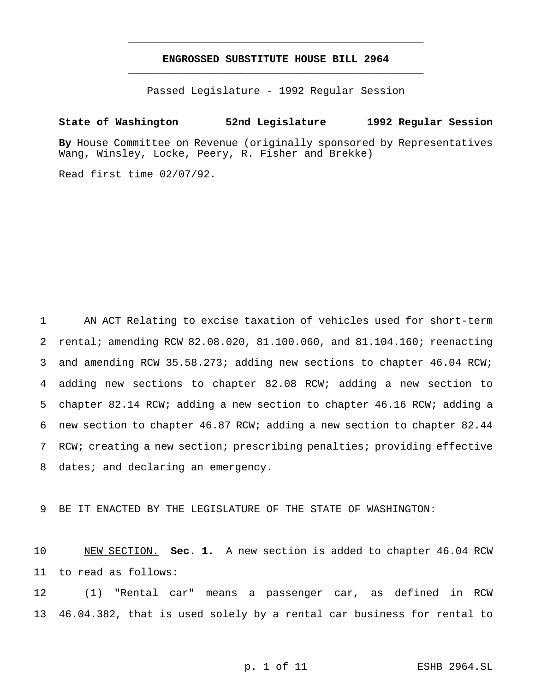# **ENGROSSED SUBSTITUTE HOUSE BILL 2964** \_\_\_\_\_\_\_\_\_\_\_\_\_\_\_\_\_\_\_\_\_\_\_\_\_\_\_\_\_\_\_\_\_\_\_\_\_\_\_\_\_\_\_\_\_\_\_

\_\_\_\_\_\_\_\_\_\_\_\_\_\_\_\_\_\_\_\_\_\_\_\_\_\_\_\_\_\_\_\_\_\_\_\_\_\_\_\_\_\_\_\_\_\_\_

Passed Legislature - 1992 Regular Session

## **State of Washington 52nd Legislature 1992 Regular Session**

**By** House Committee on Revenue (originally sponsored by Representatives Wang, Winsley, Locke, Peery, R. Fisher and Brekke)

Read first time 02/07/92.

 AN ACT Relating to excise taxation of vehicles used for short-term rental; amending RCW 82.08.020, 81.100.060, and 81.104.160; reenacting and amending RCW 35.58.273; adding new sections to chapter 46.04 RCW; adding new sections to chapter 82.08 RCW; adding a new section to chapter 82.14 RCW; adding a new section to chapter 46.16 RCW; adding a new section to chapter 46.87 RCW; adding a new section to chapter 82.44 RCW; creating a new section; prescribing penalties; providing effective 8 dates; and declaring an emergency.

9 BE IT ENACTED BY THE LEGISLATURE OF THE STATE OF WASHINGTON:

10 NEW SECTION. **Sec. 1.** A new section is added to chapter 46.04 RCW 11 to read as follows:

12 (1) "Rental car" means a passenger car, as defined in RCW 13 46.04.382, that is used solely by a rental car business for rental to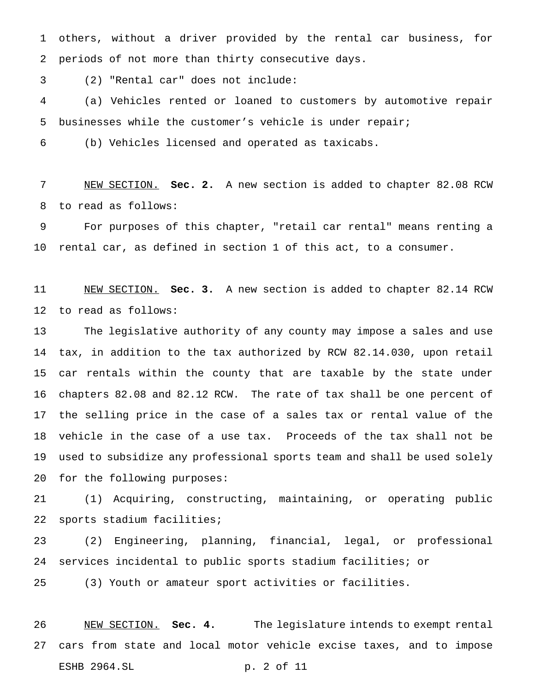others, without a driver provided by the rental car business, for periods of not more than thirty consecutive days.

(2) "Rental car" does not include:

 (a) Vehicles rented or loaned to customers by automotive repair businesses while the customer's vehicle is under repair;

(b) Vehicles licensed and operated as taxicabs.

 NEW SECTION. **Sec. 2.** A new section is added to chapter 82.08 RCW to read as follows:

 For purposes of this chapter, "retail car rental" means renting a rental car, as defined in section 1 of this act, to a consumer.

 NEW SECTION. **Sec. 3.** A new section is added to chapter 82.14 RCW to read as follows:

 The legislative authority of any county may impose a sales and use tax, in addition to the tax authorized by RCW 82.14.030, upon retail car rentals within the county that are taxable by the state under chapters 82.08 and 82.12 RCW. The rate of tax shall be one percent of the selling price in the case of a sales tax or rental value of the vehicle in the case of a use tax. Proceeds of the tax shall not be used to subsidize any professional sports team and shall be used solely for the following purposes:

 (1) Acquiring, constructing, maintaining, or operating public sports stadium facilities;

 (2) Engineering, planning, financial, legal, or professional services incidental to public sports stadium facilities; or

(3) Youth or amateur sport activities or facilities.

 NEW SECTION. **Sec. 4.** The legislature intends to exempt rental cars from state and local motor vehicle excise taxes, and to impose ESHB 2964.SL p. 2 of 11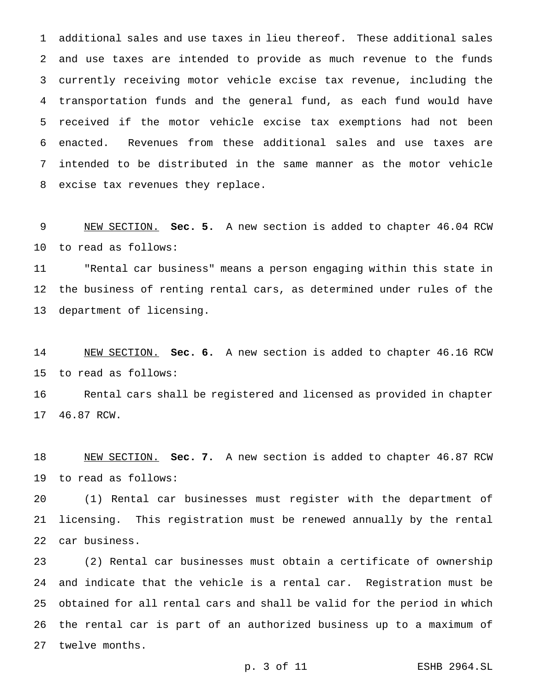additional sales and use taxes in lieu thereof. These additional sales and use taxes are intended to provide as much revenue to the funds currently receiving motor vehicle excise tax revenue, including the transportation funds and the general fund, as each fund would have received if the motor vehicle excise tax exemptions had not been enacted. Revenues from these additional sales and use taxes are intended to be distributed in the same manner as the motor vehicle excise tax revenues they replace.

 NEW SECTION. **Sec. 5.** A new section is added to chapter 46.04 RCW to read as follows:

 "Rental car business" means a person engaging within this state in the business of renting rental cars, as determined under rules of the department of licensing.

 NEW SECTION. **Sec. 6.** A new section is added to chapter 46.16 RCW to read as follows:

 Rental cars shall be registered and licensed as provided in chapter 46.87 RCW.

 NEW SECTION. **Sec. 7.** A new section is added to chapter 46.87 RCW to read as follows:

 (1) Rental car businesses must register with the department of licensing. This registration must be renewed annually by the rental car business.

 (2) Rental car businesses must obtain a certificate of ownership and indicate that the vehicle is a rental car. Registration must be obtained for all rental cars and shall be valid for the period in which the rental car is part of an authorized business up to a maximum of twelve months.

p. 3 of 11 ESHB 2964.SL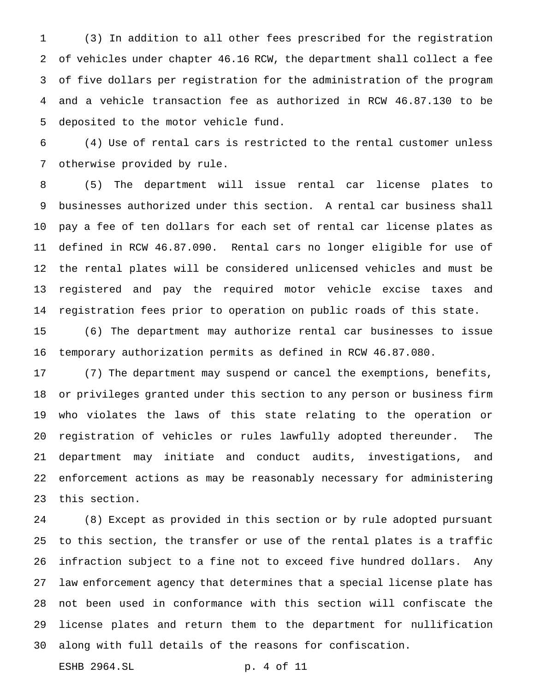(3) In addition to all other fees prescribed for the registration of vehicles under chapter 46.16 RCW, the department shall collect a fee of five dollars per registration for the administration of the program and a vehicle transaction fee as authorized in RCW 46.87.130 to be deposited to the motor vehicle fund.

 (4) Use of rental cars is restricted to the rental customer unless otherwise provided by rule.

 (5) The department will issue rental car license plates to businesses authorized under this section. A rental car business shall pay a fee of ten dollars for each set of rental car license plates as defined in RCW 46.87.090. Rental cars no longer eligible for use of the rental plates will be considered unlicensed vehicles and must be registered and pay the required motor vehicle excise taxes and registration fees prior to operation on public roads of this state.

 (6) The department may authorize rental car businesses to issue temporary authorization permits as defined in RCW 46.87.080.

 (7) The department may suspend or cancel the exemptions, benefits, or privileges granted under this section to any person or business firm who violates the laws of this state relating to the operation or registration of vehicles or rules lawfully adopted thereunder. The department may initiate and conduct audits, investigations, and enforcement actions as may be reasonably necessary for administering this section.

 (8) Except as provided in this section or by rule adopted pursuant to this section, the transfer or use of the rental plates is a traffic infraction subject to a fine not to exceed five hundred dollars. Any law enforcement agency that determines that a special license plate has not been used in conformance with this section will confiscate the license plates and return them to the department for nullification along with full details of the reasons for confiscation.

ESHB 2964.SL p. 4 of 11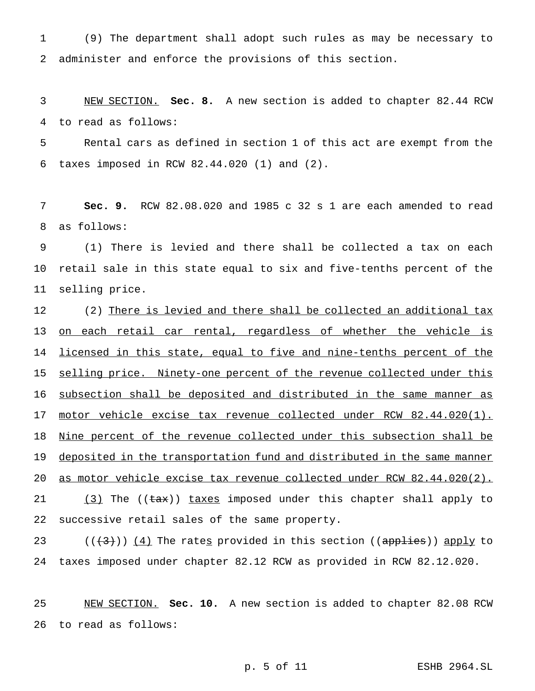(9) The department shall adopt such rules as may be necessary to administer and enforce the provisions of this section.

 NEW SECTION. **Sec. 8.** A new section is added to chapter 82.44 RCW to read as follows:

 Rental cars as defined in section 1 of this act are exempt from the taxes imposed in RCW 82.44.020 (1) and (2).

 **Sec. 9.** RCW 82.08.020 and 1985 c 32 s 1 are each amended to read as follows:

 (1) There is levied and there shall be collected a tax on each retail sale in this state equal to six and five-tenths percent of the selling price.

12 (2) There is levied and there shall be collected an additional tax 13 on each retail car rental, regardless of whether the vehicle is 14 licensed in this state, equal to five and nine-tenths percent of the 15 selling price. Ninety-one percent of the revenue collected under this subsection shall be deposited and distributed in the same manner as 17 motor vehicle excise tax revenue collected under RCW 82.44.020(1). 18 Nine percent of the revenue collected under this subsection shall be deposited in the transportation fund and distributed in the same manner as motor vehicle excise tax revenue collected under RCW 82.44.020(2). 21 (3) The ((tax)) taxes imposed under this chapter shall apply to successive retail sales of the same property.

23 ( $(\langle 4\rangle)$ )  $(4)$  The rates provided in this section ((applies)) apply to taxes imposed under chapter 82.12 RCW as provided in RCW 82.12.020.

 NEW SECTION. **Sec. 10.** A new section is added to chapter 82.08 RCW to read as follows:

p. 5 of 11 ESHB 2964.SL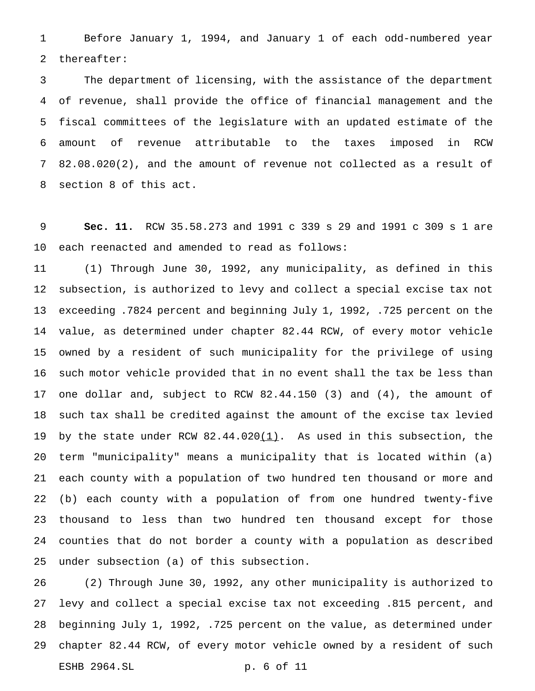Before January 1, 1994, and January 1 of each odd-numbered year thereafter:

 The department of licensing, with the assistance of the department of revenue, shall provide the office of financial management and the fiscal committees of the legislature with an updated estimate of the amount of revenue attributable to the taxes imposed in RCW 82.08.020(2), and the amount of revenue not collected as a result of section 8 of this act.

 **Sec. 11.** RCW 35.58.273 and 1991 c 339 s 29 and 1991 c 309 s 1 are each reenacted and amended to read as follows:

 (1) Through June 30, 1992, any municipality, as defined in this subsection, is authorized to levy and collect a special excise tax not exceeding .7824 percent and beginning July 1, 1992, .725 percent on the value, as determined under chapter 82.44 RCW, of every motor vehicle owned by a resident of such municipality for the privilege of using such motor vehicle provided that in no event shall the tax be less than one dollar and, subject to RCW 82.44.150 (3) and (4), the amount of such tax shall be credited against the amount of the excise tax levied 19 by the state under RCW  $82.44.020(1)$ . As used in this subsection, the term "municipality" means a municipality that is located within (a) each county with a population of two hundred ten thousand or more and (b) each county with a population of from one hundred twenty-five thousand to less than two hundred ten thousand except for those counties that do not border a county with a population as described under subsection (a) of this subsection.

 (2) Through June 30, 1992, any other municipality is authorized to levy and collect a special excise tax not exceeding .815 percent, and beginning July 1, 1992, .725 percent on the value, as determined under chapter 82.44 RCW, of every motor vehicle owned by a resident of such ESHB 2964.SL p. 6 of 11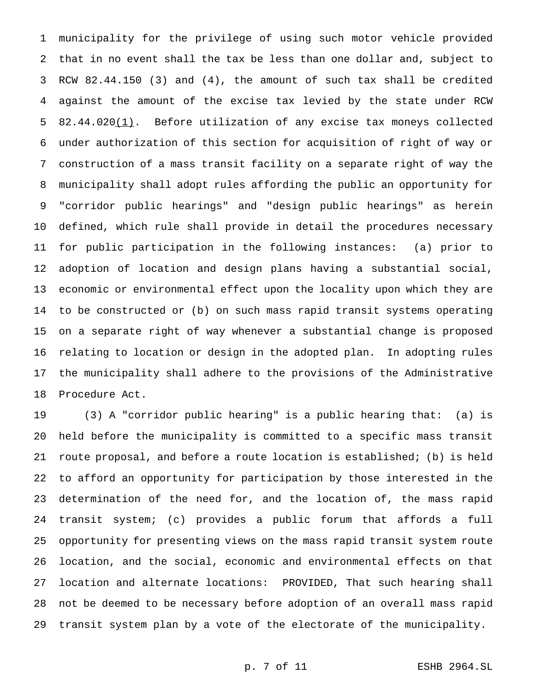municipality for the privilege of using such motor vehicle provided that in no event shall the tax be less than one dollar and, subject to RCW 82.44.150 (3) and (4), the amount of such tax shall be credited against the amount of the excise tax levied by the state under RCW 82.44.020(1). Before utilization of any excise tax moneys collected under authorization of this section for acquisition of right of way or construction of a mass transit facility on a separate right of way the municipality shall adopt rules affording the public an opportunity for "corridor public hearings" and "design public hearings" as herein defined, which rule shall provide in detail the procedures necessary for public participation in the following instances: (a) prior to adoption of location and design plans having a substantial social, economic or environmental effect upon the locality upon which they are to be constructed or (b) on such mass rapid transit systems operating on a separate right of way whenever a substantial change is proposed relating to location or design in the adopted plan. In adopting rules the municipality shall adhere to the provisions of the Administrative Procedure Act.

 (3) A "corridor public hearing" is a public hearing that: (a) is held before the municipality is committed to a specific mass transit route proposal, and before a route location is established; (b) is held to afford an opportunity for participation by those interested in the determination of the need for, and the location of, the mass rapid transit system; (c) provides a public forum that affords a full opportunity for presenting views on the mass rapid transit system route location, and the social, economic and environmental effects on that location and alternate locations: PROVIDED, That such hearing shall not be deemed to be necessary before adoption of an overall mass rapid transit system plan by a vote of the electorate of the municipality.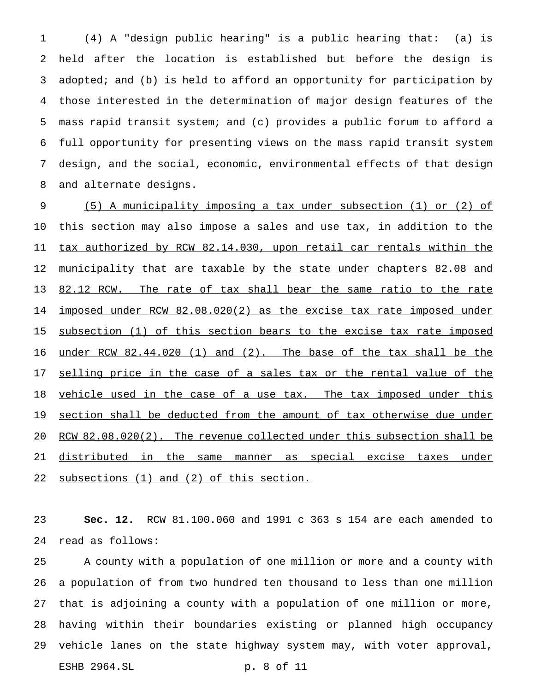(4) A "design public hearing" is a public hearing that: (a) is held after the location is established but before the design is adopted; and (b) is held to afford an opportunity for participation by those interested in the determination of major design features of the mass rapid transit system; and (c) provides a public forum to afford a full opportunity for presenting views on the mass rapid transit system design, and the social, economic, environmental effects of that design and alternate designs.

 (5) A municipality imposing a tax under subsection (1) or (2) of this section may also impose a sales and use tax, in addition to the tax authorized by RCW 82.14.030, upon retail car rentals within the 12 municipality that are taxable by the state under chapters 82.08 and 13 82.12 RCW. The rate of tax shall bear the same ratio to the rate 14 imposed under RCW 82.08.020(2) as the excise tax rate imposed under subsection (1) of this section bears to the excise tax rate imposed under RCW 82.44.020 (1) and (2). The base of the tax shall be the 17 selling price in the case of a sales tax or the rental value of the 18 vehicle used in the case of a use tax. The tax imposed under this 19 section shall be deducted from the amount of tax otherwise due under RCW 82.08.020(2). The revenue collected under this subsection shall be distributed in the same manner as special excise taxes under 22 subsections (1) and (2) of this section.

 **Sec. 12.** RCW 81.100.060 and 1991 c 363 s 154 are each amended to read as follows:

 A county with a population of one million or more and a county with a population of from two hundred ten thousand to less than one million that is adjoining a county with a population of one million or more, having within their boundaries existing or planned high occupancy vehicle lanes on the state highway system may, with voter approval, ESHB 2964.SL p. 8 of 11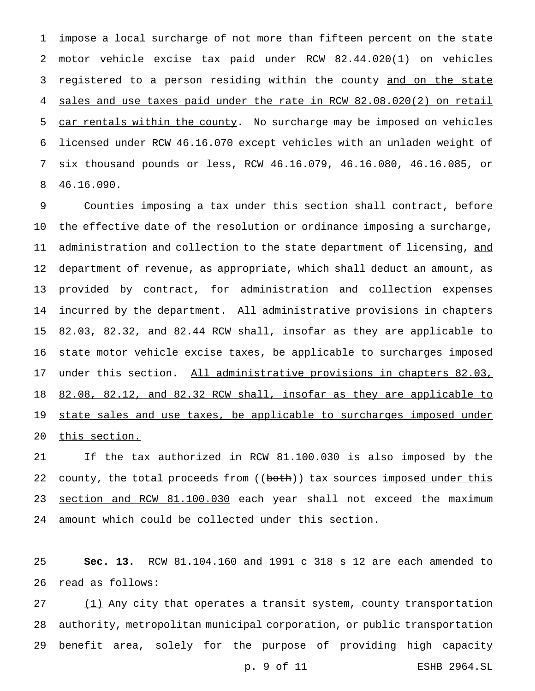impose a local surcharge of not more than fifteen percent on the state motor vehicle excise tax paid under RCW 82.44.020(1) on vehicles 3 registered to a person residing within the county and on the state sales and use taxes paid under the rate in RCW 82.08.020(2) on retail 5 car rentals within the county. No surcharge may be imposed on vehicles licensed under RCW 46.16.070 except vehicles with an unladen weight of six thousand pounds or less, RCW 46.16.079, 46.16.080, 46.16.085, or 46.16.090.

 Counties imposing a tax under this section shall contract, before the effective date of the resolution or ordinance imposing a surcharge, 11 administration and collection to the state department of licensing, and 12 department of revenue, as appropriate, which shall deduct an amount, as provided by contract, for administration and collection expenses incurred by the department. All administrative provisions in chapters 82.03, 82.32, and 82.44 RCW shall, insofar as they are applicable to state motor vehicle excise taxes, be applicable to surcharges imposed 17 under this section. All administrative provisions in chapters 82.03, 82.08, 82.12, and 82.32 RCW shall, insofar as they are applicable to 19 state sales and use taxes, be applicable to surcharges imposed under this section.

 If the tax authorized in RCW 81.100.030 is also imposed by the 22 county, the total proceeds from ((both)) tax sources imposed under this 23 section and RCW 81.100.030 each year shall not exceed the maximum amount which could be collected under this section.

 **Sec. 13.** RCW 81.104.160 and 1991 c 318 s 12 are each amended to read as follows:

27 (1) Any city that operates a transit system, county transportation authority, metropolitan municipal corporation, or public transportation benefit area, solely for the purpose of providing high capacity p. 9 of 11 ESHB 2964.SL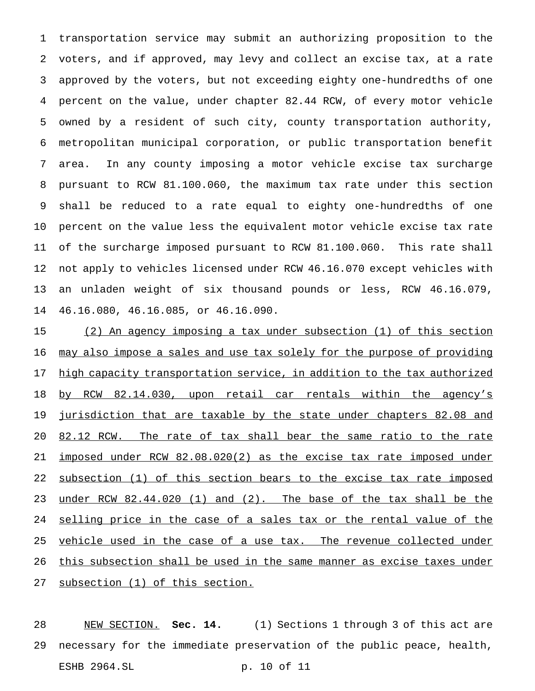transportation service may submit an authorizing proposition to the voters, and if approved, may levy and collect an excise tax, at a rate approved by the voters, but not exceeding eighty one-hundredths of one percent on the value, under chapter 82.44 RCW, of every motor vehicle owned by a resident of such city, county transportation authority, metropolitan municipal corporation, or public transportation benefit area. In any county imposing a motor vehicle excise tax surcharge pursuant to RCW 81.100.060, the maximum tax rate under this section shall be reduced to a rate equal to eighty one-hundredths of one percent on the value less the equivalent motor vehicle excise tax rate of the surcharge imposed pursuant to RCW 81.100.060. This rate shall not apply to vehicles licensed under RCW 46.16.070 except vehicles with an unladen weight of six thousand pounds or less, RCW 46.16.079, 46.16.080, 46.16.085, or 46.16.090.

 (2) An agency imposing a tax under subsection (1) of this section 16 may also impose a sales and use tax solely for the purpose of providing 17 high capacity transportation service, in addition to the tax authorized 18 by RCW 82.14.030, upon retail car rentals within the agency's 19 jurisdiction that are taxable by the state under chapters 82.08 and 20 82.12 RCW. The rate of tax shall bear the same ratio to the rate imposed under RCW 82.08.020(2) as the excise tax rate imposed under 22 subsection (1) of this section bears to the excise tax rate imposed under RCW 82.44.020 (1) and (2). The base of the tax shall be the selling price in the case of a sales tax or the rental value of the 25 vehicle used in the case of a use tax. The revenue collected under this subsection shall be used in the same manner as excise taxes under subsection (1) of this section.

 NEW SECTION. **Sec. 14.** (1) Sections 1 through 3 of this act are necessary for the immediate preservation of the public peace, health, ESHB 2964.SL p. 10 of 11